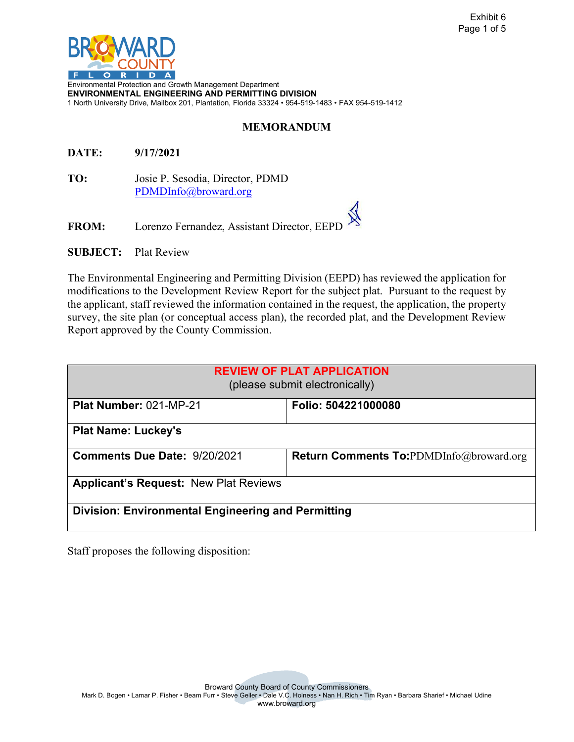

Environmental Protection and Growth Management Department **ENVIRONMENTAL ENGINEERING AND PERMITTING DIVISION** 1 North University Drive, Mailbox 201, Plantation, Florida 33324 • 954-519-1483 • FAX 954-519-1412

## **MEMORANDUM**

**DATE: 9/17/2021** 

**TO:** Josie P. Sesodia, Director, PDMD [PDMDInfo@broward.org](mailto:PDMDInfo@broward.org) 

FROM: Lorenzo Fernandez, Assistant Director, EEPI

**SUBJECT:** Plat Review

The Environmental Engineering and Permitting Division (EEPD) has reviewed the application for modifications to the Development Review Report for the subject plat. Pursuant to the request by the applicant, staff reviewed the information contained in the request, the application, the property survey, the site plan (or conceptual access plan), the recorded plat, and the Development Review Report approved by the County Commission.

| <b>REVIEW OF PLAT APPLICATION</b><br>(please submit electronically) |                                                |  |  |
|---------------------------------------------------------------------|------------------------------------------------|--|--|
| Plat Number: 021-MP-21                                              | Folio: 504221000080                            |  |  |
| <b>Plat Name: Luckey's</b>                                          |                                                |  |  |
| <b>Comments Due Date: 9/20/2021</b>                                 | <b>Return Comments To:PDMDInfo@broward.org</b> |  |  |
| <b>Applicant's Request: New Plat Reviews</b>                        |                                                |  |  |
| Division: Environmental Engineering and Permitting                  |                                                |  |  |

Staff proposes the following disposition:

Broward County Board of County Commissioners

Mark D. Bogen • Lamar P. Fisher • Beam Furr • Steve Geller • Dale V.C. Holness • Nan H. Rich • Tim Ryan • Barbara Sharief • Michael Udine www.broward.org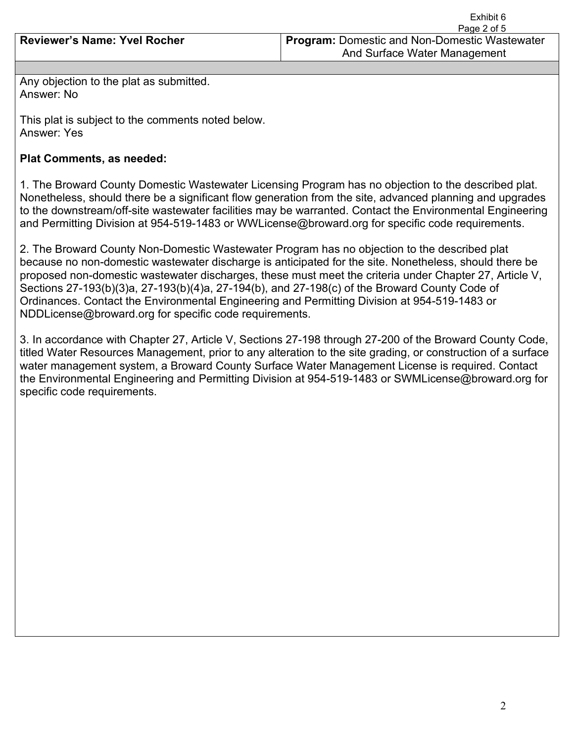|                                     | Page 2 of 5                                                                          |
|-------------------------------------|--------------------------------------------------------------------------------------|
| <b>Reviewer's Name: Yvel Rocher</b> | <b>Program: Domestic and Non-Domestic Wastewater</b><br>And Surface Water Management |
|                                     |                                                                                      |

Any objection to the plat as submitted. Answer: No

This plat is subject to the comments noted below. Answer: Yes

## **Plat Comments, as needed:**

1. The Broward County Domestic Wastewater Licensing Program has no objection to the described plat. Nonetheless, should there be a significant flow generation from the site, advanced planning and upgrades to the downstream/off-site wastewater facilities may be warranted. Contact the Environmental Engineering and Permitting Division at 954-519-1483 or WWLicense@broward.org for specific code requirements.

2. The Broward County Non-Domestic Wastewater Program has no objection to the described plat because no non-domestic wastewater discharge is anticipated for the site. Nonetheless, should there be proposed non-domestic wastewater discharges, these must meet the criteria under Chapter 27, Article V, Sections 27-193(b)(3)a, 27-193(b)(4)a, 27-194(b), and 27-198(c) of the Broward County Code of Ordinances. Contact the Environmental Engineering and Permitting Division at 954-519-1483 or NDDLicense@broward.org for specific code requirements.

3. In accordance with Chapter 27, Article V, Sections 27-198 through 27-200 of the Broward County Code, titled Water Resources Management, prior to any alteration to the site grading, or construction of a surface water management system, a Broward County Surface Water Management License is required. Contact the Environmental Engineering and Permitting Division at 954-519-1483 or SWMLicense@broward.org for specific code requirements.

Exhibit 6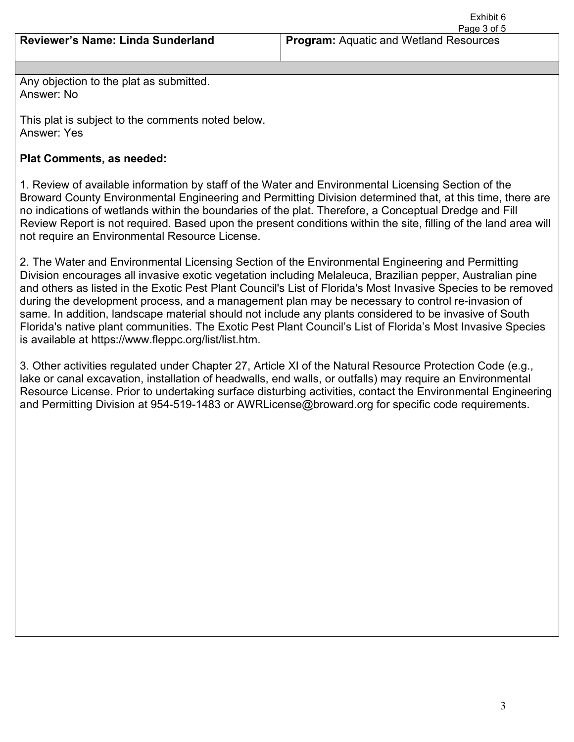Exhibit 6 Page 3 of 5

Any objection to the plat as submitted. Answer: No

This plat is subject to the comments noted below. Answer: Yes

## **Plat Comments, as needed:**

1. Review of available information by staff of the Water and Environmental Licensing Section of the Broward County Environmental Engineering and Permitting Division determined that, at this time, there are no indications of wetlands within the boundaries of the plat. Therefore, a Conceptual Dredge and Fill Review Report is not required. Based upon the present conditions within the site, filling of the land area will not require an Environmental Resource License.

2. The Water and Environmental Licensing Section of the Environmental Engineering and Permitting Division encourages all invasive exotic vegetation including Melaleuca, Brazilian pepper, Australian pine and others as listed in the Exotic Pest Plant Council's List of Florida's Most Invasive Species to be removed during the development process, and a management plan may be necessary to control re-invasion of same. In addition, landscape material should not include any plants considered to be invasive of South Florida's native plant communities. The Exotic Pest Plant Council's List of Florida's Most Invasive Species is available at https://www.fleppc.org/list/list.htm.

3. Other activities regulated under Chapter 27, Article XI of the Natural Resource Protection Code (e.g., lake or canal excavation, installation of headwalls, end walls, or outfalls) may require an Environmental Resource License. Prior to undertaking surface disturbing activities, contact the Environmental Engineering and Permitting Division at 954-519-1483 or AWRLicense@broward.org for specific code requirements.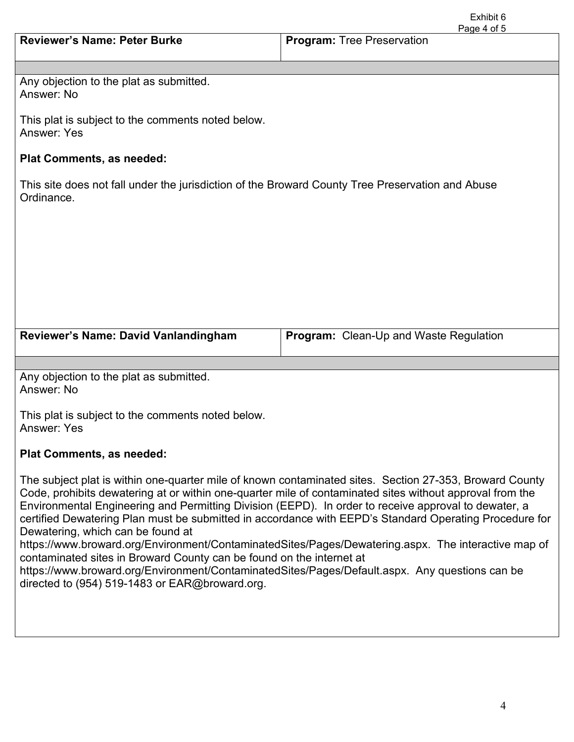|                                                                                                                | Page 4 of 5                                   |  |  |
|----------------------------------------------------------------------------------------------------------------|-----------------------------------------------|--|--|
| <b>Reviewer's Name: Peter Burke</b>                                                                            | <b>Program: Tree Preservation</b>             |  |  |
|                                                                                                                |                                               |  |  |
| Any objection to the plat as submitted.<br>Answer: No                                                          |                                               |  |  |
| This plat is subject to the comments noted below.<br><b>Answer: Yes</b>                                        |                                               |  |  |
| <b>Plat Comments, as needed:</b>                                                                               |                                               |  |  |
| This site does not fall under the jurisdiction of the Broward County Tree Preservation and Abuse<br>Ordinance. |                                               |  |  |
|                                                                                                                |                                               |  |  |
|                                                                                                                |                                               |  |  |
|                                                                                                                |                                               |  |  |
|                                                                                                                |                                               |  |  |
|                                                                                                                |                                               |  |  |
|                                                                                                                |                                               |  |  |
|                                                                                                                |                                               |  |  |
| Reviewer's Name: David Vanlandingham                                                                           | <b>Program:</b> Clean-Up and Waste Regulation |  |  |
|                                                                                                                |                                               |  |  |
| Any objection to the plat as submitted.<br>Answer: No                                                          |                                               |  |  |
| This plat is subject to the comments noted below.<br><b>Answer: Yes</b>                                        |                                               |  |  |
| <b>Plat Comments, as needed:</b>                                                                               |                                               |  |  |

The subject plat is within one-quarter mile of known contaminated sites. Section 27-353, Broward County Code, prohibits dewatering at or within one-quarter mile of contaminated sites without approval from the Environmental Engineering and Permitting Division (EEPD). In order to receive approval to dewater, a certified Dewatering Plan must be submitted in accordance with EEPD's Standard Operating Procedure for Dewatering, which can be found at

https://www.broward.org/Environment/ContaminatedSites/Pages/Dewatering.aspx. The interactive map of contaminated sites in Broward County can be found on the internet at

https://www.broward.org/Environment/ContaminatedSites/Pages/Default.aspx. Any questions can be directed to (954) 519-1483 or EAR@broward.org.